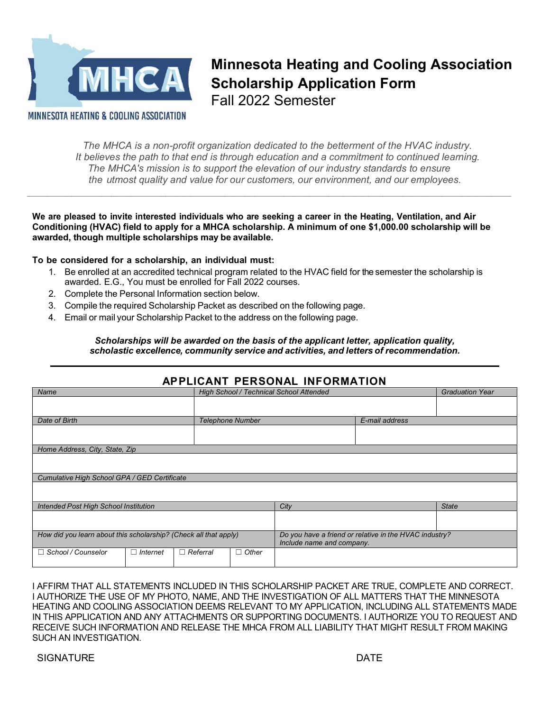

**Minnesota Heating and Cooling Association Scholarship Application Form** Fall 2022 Semester

MINNESOTA HEATING & COOLING ASSOCIATION

*Cumulative High School GPA / GED Certificate*

*The MHCA is a non-profit organization dedicated to the betterment of the HVAC industry. It believes the path to that end is through education and a commitment to continued learning. The MHCA's mission is to support the elevation of our industry standards to ensure the utmost quality and value for our customers, our environment, and our employees.*

*\_\_\_\_\_\_\_\_\_\_\_\_\_\_\_\_\_\_\_\_\_\_\_\_\_\_\_\_\_\_\_\_\_\_\_\_\_\_\_\_\_\_\_\_\_\_\_\_\_\_\_\_\_\_\_\_\_\_\_\_\_\_\_\_\_\_\_\_\_\_\_\_\_\_\_\_\_\_\_\_\_\_\_\_\_\_\_\_\_\_\_\_\_\_\_\_\_\_* 

**We are pleased to invite interested individuals who are seeking a career in the Heating, Ventilation, and Air Conditioning (HVAC) field to apply for a MHCA scholarship. A minimum of one \$1,000.00 scholarship will be awarded, though multiple scholarships may be available.**

#### **To be considered for a scholarship, an individual must:**

- 1. Be enrolled at an accredited technical program related to the HVAC field for the semester the scholarship is awarded. E.G., You must be enrolled for Fall 2022 courses.
- 2. Complete the Personal Information section below.
- 3. Compile the required Scholarship Packet as described on the following page.
- 4. Email or mail your Scholarship Packet to the address on the following page.

#### *Scholarships will be awarded on the basis of the applicant letter, application quality, scholastic excellence, community service and activities, and letters of recommendation.*

| APPLICANT PERSONAL INFORMATION |                                         |                        |  |  |  |  |  |
|--------------------------------|-----------------------------------------|------------------------|--|--|--|--|--|
| Name                           | High School / Technical School Attended | <b>Graduation Year</b> |  |  |  |  |  |
|                                |                                         |                        |  |  |  |  |  |
|                                |                                         |                        |  |  |  |  |  |
| Date of Birth                  | <b>Telephone Number</b>                 | E-mail address         |  |  |  |  |  |
|                                |                                         |                        |  |  |  |  |  |
|                                |                                         |                        |  |  |  |  |  |
| Home Address, City, State, Zip |                                         |                        |  |  |  |  |  |
|                                |                                         |                        |  |  |  |  |  |
|                                |                                         |                        |  |  |  |  |  |

# **APPLICANT PERSONAL INFORMATION**

| Intended Post High School Institution                            |          |                 | City                                                                                | <b>State</b> |  |
|------------------------------------------------------------------|----------|-----------------|-------------------------------------------------------------------------------------|--------------|--|
|                                                                  |          |                 |                                                                                     |              |  |
| How did you learn about this scholarship? (Check all that apply) |          |                 | Do you have a friend or relative in the HVAC industry?<br>Include name and company. |              |  |
| □ School / Counselor                                             | Internet | $\Box$ Referral | $\Box$ Other                                                                        |              |  |

I AFFIRM THAT ALL STATEMENTS INCLUDED IN THIS SCHOLARSHIP PACKET ARE TRUE, COMPLETE AND CORRECT. I AUTHORIZE THE USE OF MY PHOTO, NAME, AND THE INVESTIGATION OF ALL MATTERS THAT THE MINNESOTA HEATING AND COOLING ASSOCIATION DEEMS RELEVANT TO MY APPLICATION, INCLUDING ALL STATEMENTS MADE IN THIS APPLICATION AND ANY ATTACHMENTS OR SUPPORTING DOCUMENTS. I AUTHORIZE YOU TO REQUEST AND RECEIVE SUCH INFORMATION AND RELEASE THE MHCA FROM ALL LIABILITY THAT MIGHT RESULT FROM MAKING SUCH AN INVESTIGATION.

#### SIGNATURE **DATE**